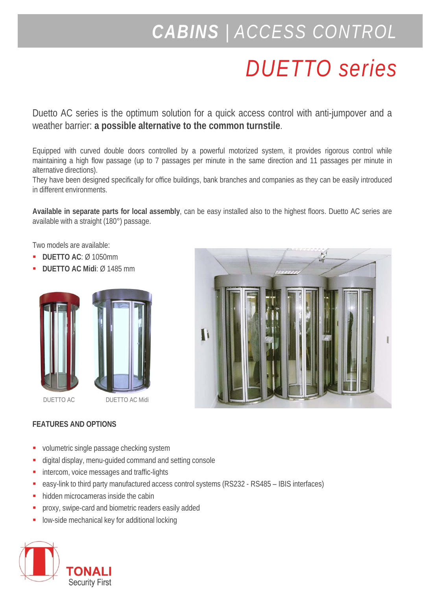## *CABINS | ACCESS CONTROL*

## *DUETTO series*

Duetto AC series is the optimum solution for a quick access control with anti-jumpover and a weather barrier: **a possible alternative to the common turnstile**.

Equipped with curved double doors controlled by a powerful motorized system, it provides rigorous control while maintaining a high flow passage (up to 7 passages per minute in the same direction and 11 passages per minute in alternative directions).

They have been designed specifically for office buildings, bank branches and companies as they can be easily introduced in different environments.

**Available in separate parts for local assembly**, can be easy installed also to the highest floors. Duetto AC series are available with a straight (180°) passage.

Two models are available:

- **DUETTO AC**: Ø 1050mm
- **DUETTO AC Midi**: Ø 1485 mm





## **FEATURES AND OPTIONS**

- volumetric single passage checking system
- digital display, menu-guided command and setting console
- intercom, voice messages and traffic-lights
- easy-link to third party manufactured access control systems (RS232 RS485 IBIS interfaces)
- hidden microcameras inside the cabin
- **Proxy, swipe-card and biometric readers easily added**
- low-side mechanical key for additional locking